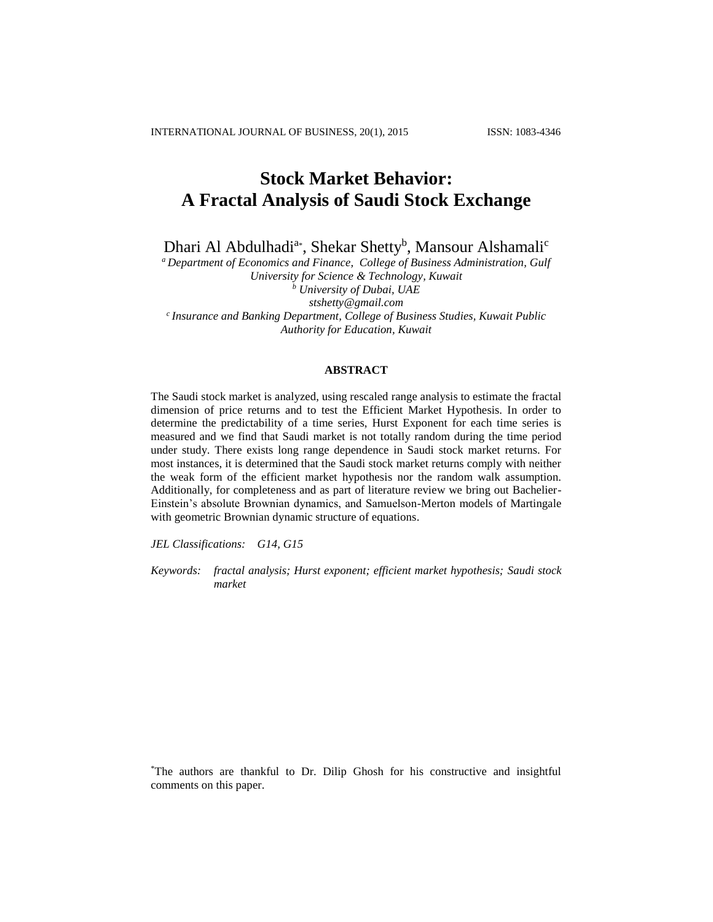# **Stock Market Behavior: A Fractal Analysis of Saudi Stock Exchange**

Dhari Al Abdulhadi<sup>a\*</sup>, Shekar Shetty<sup>b</sup>, Mansour Alshamali<sup>c</sup>

*<sup>a</sup> Department of Economics and Finance, College of Business Administration, Gulf University for Science & Technology, Kuwait <sup>b</sup> University of Dubai, UAE [stshetty@gmail.com](mailto:stshetty@gmail.com) c Insurance and Banking Department, College of Business Studies, Kuwait Public Authority for Education, Kuwait*

### **ABSTRACT**

The Saudi stock market is analyzed, using rescaled range analysis to estimate the fractal dimension of price returns and to test the Efficient Market Hypothesis. In order to determine the predictability of a time series, Hurst Exponent for each time series is measured and we find that Saudi market is not totally random during the time period under study. There exists long range dependence in Saudi stock market returns. For most instances, it is determined that the Saudi stock market returns comply with neither the weak form of the efficient market hypothesis nor the random walk assumption. Additionally, for completeness and as part of literature review we bring out Bachelier-Einstein's absolute Brownian dynamics, and Samuelson-Merton models of Martingale with geometric Brownian dynamic structure of equations.

*JEL Classifications: G14, G15*

*Keywords: fractal analysis; Hurst exponent; efficient market hypothesis; Saudi stock market*

\*The authors are thankful to Dr. Dilip Ghosh for his constructive and insightful comments on this paper.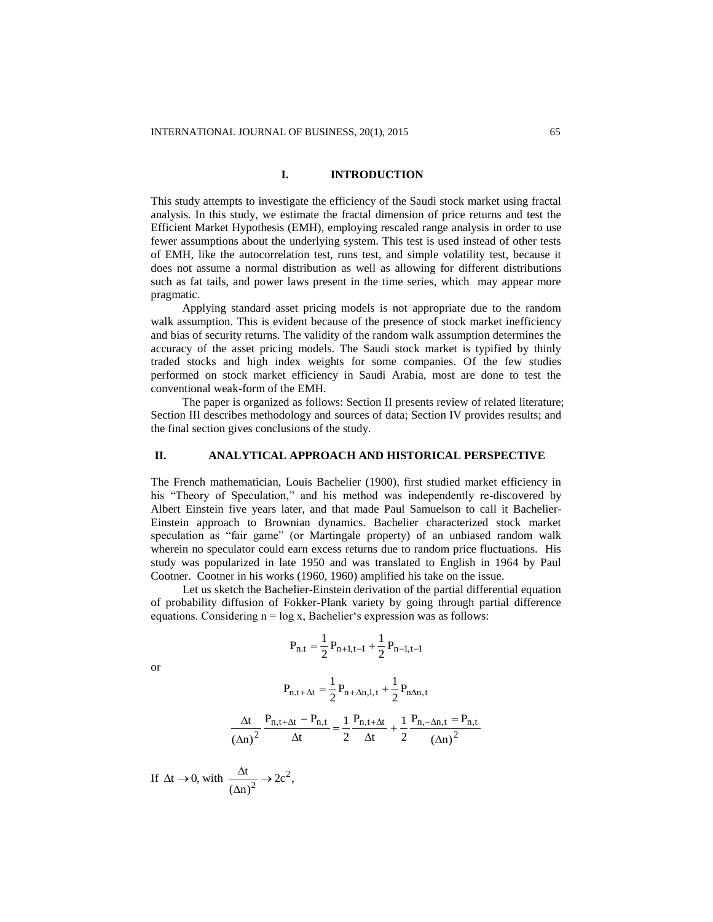## **I. INTRODUCTION**

This study attempts to investigate the efficiency of the Saudi stock market using fractal analysis. In this study, we estimate the fractal dimension of price returns and test the Efficient Market Hypothesis (EMH), employing rescaled range analysis in order to use fewer assumptions about the underlying system. This test is used instead of other tests of EMH, like the autocorrelation test, runs test, and simple volatility test, because it does not assume a normal distribution as well as allowing for different distributions such as fat tails, and power laws present in the time series, which may appear more pragmatic.

Applying standard asset pricing models is not appropriate due to the random walk assumption. This is evident because of the presence of stock market inefficiency and bias of security returns. The validity of the random walk assumption determines the accuracy of the asset pricing models. The Saudi stock market is typified by thinly traded stocks and high index weights for some companies. Of the few studies performed on stock market efficiency in Saudi Arabia, most are done to test the conventional weak-form of the EMH.

The paper is organized as follows: Section II presents review of related literature; Section III describes methodology and sources of data; Section IV provides results; and the final section gives conclusions of the study.

## **II. ANALYTICAL APPROACH AND HISTORICAL PERSPECTIVE**

The French mathematician, Louis Bachelier (1900), first studied market efficiency in his "Theory of Speculation," and his method was independently re-discovered by Albert Einstein five years later, and that made Paul Samuelson to call it Bachelier-Einstein approach to Brownian dynamics. Bachelier characterized stock market speculation as "fair game" (or Martingale property) of an unbiased random walk wherein no speculator could earn excess returns due to random price fluctuations. His study was popularized in late 1950 and was translated to English in 1964 by Paul Cootner. Cootner in his works (1960, 1960) amplified his take on the issue.

Let us sketch the Bachelier-Einstein derivation of the partial differential equation of probability diffusion of Fokker-Plank variety by going through partial difference equations. Considering  $n = log x$ , Bachelier's expression was as follows:

$$
P_{n,t} = \frac{1}{2} P_{n+1,t-1} + \frac{1}{2} P_{n-1,t-1}
$$

or

$$
P_{n.t+\Delta t}=\frac{1}{2}P_{n+\Delta n,1,t}+\frac{1}{2}P_{n\Delta n,t}
$$

$$
\frac{\Delta t}{\left(\Delta n\right)^2} \frac{P_{n,t+\Delta t}-P_{n,t}}{\Delta t} = \frac{1}{2} \frac{P_{n,t+\Delta t}}{\Delta t} + \frac{1}{2} \frac{P_{n,-\Delta n,t}=P_{n,t}}{\left(\Delta n\right)^2}
$$

If  $\Delta t \rightarrow 0$ , with  $\frac{\Delta t}{\Delta t} \rightarrow 2c^2$ ,  $(\Delta n)$  $\frac{\Delta t}{\Delta n)^2} \rightarrow 2c^2$ Δ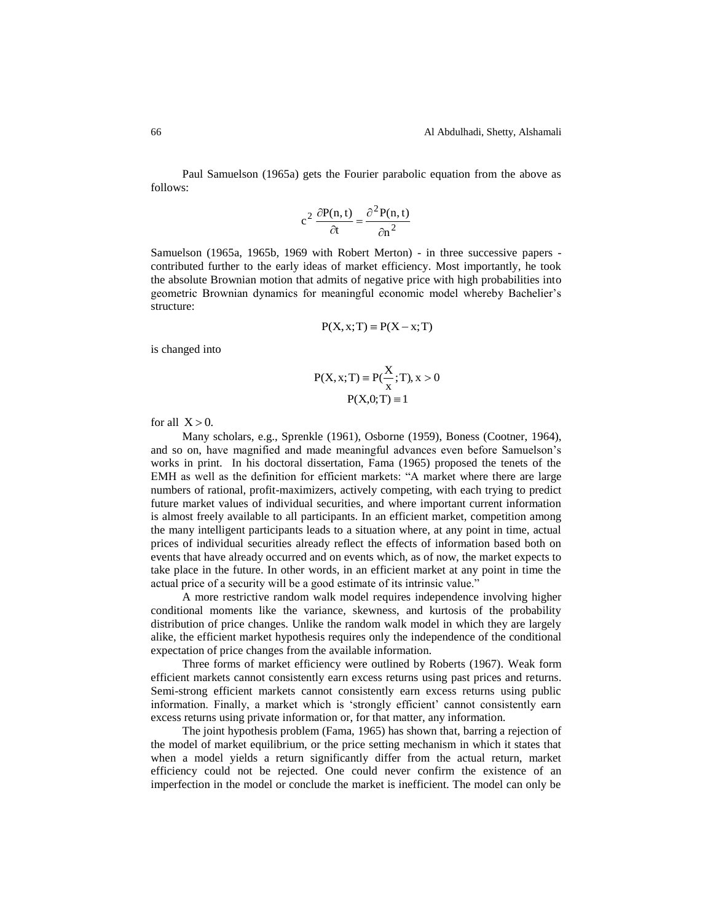Paul Samuelson (1965a) gets the Fourier parabolic equation from the above as follows:

$$
c^2 \frac{\partial P(n,t)}{\partial t} = \frac{\partial^2 P(n,t)}{\partial n^2}
$$

Samuelson (1965a, 1965b, 1969 with Robert Merton) - in three successive papers contributed further to the early ideas of market efficiency. Most importantly, he took the absolute Brownian motion that admits of negative price with high probabilities into geometric Brownian dynamics for meaningful economic model whereby Bachelier's structure:

$$
P(X, x; T) \equiv P(X - x; T)
$$

is changed into

$$
P(X, x; T) \equiv P(\frac{X}{x}; T), x > 0
$$

$$
P(X, 0; T) \equiv 1
$$

for all  $X > 0$ .

Many scholars, e.g., Sprenkle (1961), Osborne (1959), Boness (Cootner, 1964), and so on, have magnified and made meaningful advances even before Samuelson's works in print. In his doctoral dissertation, Fama (1965) proposed the tenets of the EMH as well as the definition for efficient markets: "A market where there are large numbers of rational, profit-maximizers, actively competing, with each trying to predict future market values of individual securities, and where important current information is almost freely available to all participants. In an efficient market, competition among the many intelligent participants leads to a situation where, at any point in time, actual prices of individual securities already reflect the effects of information based both on events that have already occurred and on events which, as of now, the market expects to take place in the future. In other words, in an efficient market at any point in time the actual price of a security will be a good estimate of its intrinsic value."

A more restrictive random walk model requires independence involving higher conditional moments like the variance, skewness, and kurtosis of the probability distribution of price changes. Unlike the random walk model in which they are largely alike, the efficient market hypothesis requires only the independence of the conditional expectation of price changes from the available information.

Three forms of market efficiency were outlined by Roberts (1967). Weak form efficient markets cannot consistently earn excess returns using past prices and returns. Semi-strong efficient markets cannot consistently earn excess returns using public information. Finally, a market which is 'strongly efficient' cannot consistently earn excess returns using private information or, for that matter, any information.

The joint hypothesis problem (Fama, 1965) has shown that, barring a rejection of the model of market equilibrium, or the price setting mechanism in which it states that when a model yields a return significantly differ from the actual return, market efficiency could not be rejected. One could never confirm the existence of an imperfection in the model or conclude the market is inefficient. The model can only be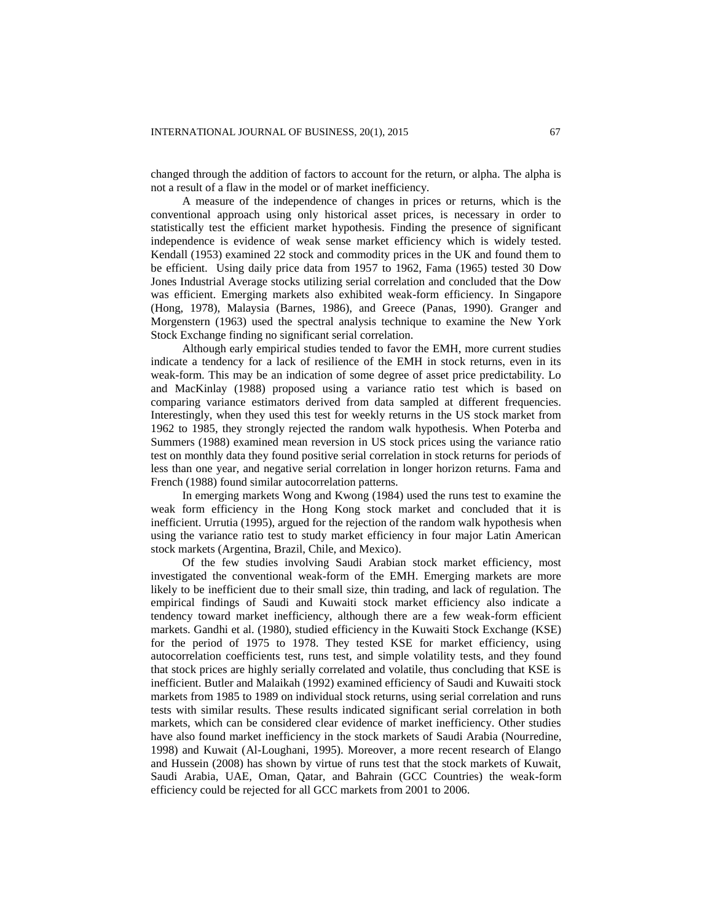changed through the addition of factors to account for the return, or alpha. The alpha is not a result of a flaw in the model or of market inefficiency.

A measure of the independence of changes in prices or returns, which is the conventional approach using only historical asset prices, is necessary in order to statistically test the efficient market hypothesis. Finding the presence of significant independence is evidence of weak sense market efficiency which is widely tested. Kendall (1953) examined 22 stock and commodity prices in the UK and found them to be efficient. Using daily price data from 1957 to 1962, Fama (1965) tested 30 Dow Jones Industrial Average stocks utilizing serial correlation and concluded that the Dow was efficient. Emerging markets also exhibited weak-form efficiency. In Singapore (Hong, 1978), Malaysia (Barnes, 1986), and Greece (Panas, 1990). Granger and Morgenstern (1963) used the spectral analysis technique to examine the New York Stock Exchange finding no significant serial correlation.

Although early empirical studies tended to favor the EMH, more current studies indicate a tendency for a lack of resilience of the EMH in stock returns, even in its weak-form. This may be an indication of some degree of asset price predictability. Lo and MacKinlay (1988) proposed using a variance ratio test which is based on comparing variance estimators derived from data sampled at different frequencies. Interestingly, when they used this test for weekly returns in the US stock market from 1962 to 1985, they strongly rejected the random walk hypothesis. When Poterba and Summers (1988) examined mean reversion in US stock prices using the variance ratio test on monthly data they found positive serial correlation in stock returns for periods of less than one year, and negative serial correlation in longer horizon returns. Fama and French (1988) found similar autocorrelation patterns.

In emerging markets Wong and Kwong (1984) used the runs test to examine the weak form efficiency in the Hong Kong stock market and concluded that it is inefficient. Urrutia (1995), argued for the rejection of the random walk hypothesis when using the variance ratio test to study market efficiency in four major Latin American stock markets (Argentina, Brazil, Chile, and Mexico).

Of the few studies involving Saudi Arabian stock market efficiency, most investigated the conventional weak-form of the EMH. Emerging markets are more likely to be inefficient due to their small size, thin trading, and lack of regulation. The empirical findings of Saudi and Kuwaiti stock market efficiency also indicate a tendency toward market inefficiency, although there are a few weak-form efficient markets. Gandhi et al. (1980), studied efficiency in the Kuwaiti Stock Exchange (KSE) for the period of 1975 to 1978. They tested KSE for market efficiency, using autocorrelation coefficients test, runs test, and simple volatility tests, and they found that stock prices are highly serially correlated and volatile, thus concluding that KSE is inefficient. Butler and Malaikah (1992) examined efficiency of Saudi and Kuwaiti stock markets from 1985 to 1989 on individual stock returns, using serial correlation and runs tests with similar results. These results indicated significant serial correlation in both markets, which can be considered clear evidence of market inefficiency. Other studies have also found market inefficiency in the stock markets of Saudi Arabia (Nourredine, 1998) and Kuwait (Al-Loughani, 1995). Moreover, a more recent research of Elango and Hussein (2008) has shown by virtue of runs test that the stock markets of Kuwait, Saudi Arabia, UAE, Oman, Qatar, and Bahrain (GCC Countries) the weak-form efficiency could be rejected for all GCC markets from 2001 to 2006.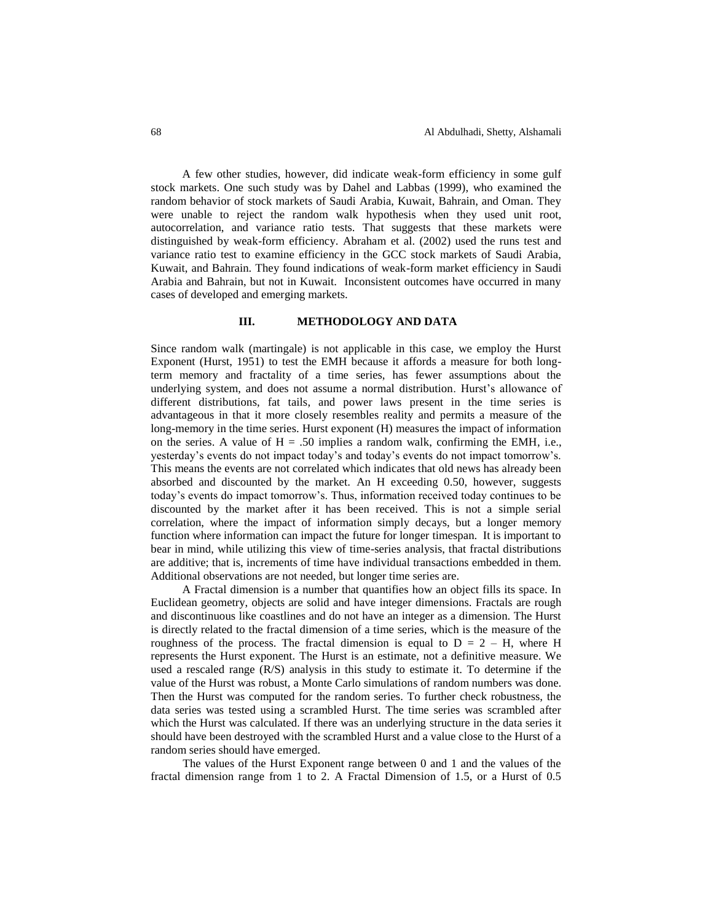A few other studies, however, did indicate weak-form efficiency in some gulf stock markets. One such study was by Dahel and Labbas (1999), who examined the random behavior of stock markets of Saudi Arabia, Kuwait, Bahrain, and Oman. They were unable to reject the random walk hypothesis when they used unit root, autocorrelation, and variance ratio tests. That suggests that these markets were distinguished by weak-form efficiency. Abraham et al. (2002) used the runs test and variance ratio test to examine efficiency in the GCC stock markets of Saudi Arabia, Kuwait, and Bahrain. They found indications of weak-form market efficiency in Saudi Arabia and Bahrain, but not in Kuwait. Inconsistent outcomes have occurred in many cases of developed and emerging markets.

#### **III. METHODOLOGY AND DATA**

Since random walk (martingale) is not applicable in this case, we employ the Hurst Exponent (Hurst, 1951) to test the EMH because it affords a measure for both longterm memory and fractality of a time series, has fewer assumptions about the underlying system, and does not assume a normal distribution. Hurst's allowance of different distributions, fat tails, and power laws present in the time series is advantageous in that it more closely resembles reality and permits a measure of the long-memory in the time series. Hurst exponent (H) measures the impact of information on the series. A value of  $H = .50$  implies a random walk, confirming the EMH, i.e., yesterday's events do not impact today's and today's events do not impact tomorrow's. This means the events are not correlated which indicates that old news has already been absorbed and discounted by the market. An H exceeding 0.50, however, suggests today's events do impact tomorrow's. Thus, information received today continues to be discounted by the market after it has been received. This is not a simple serial correlation, where the impact of information simply decays, but a longer memory function where information can impact the future for longer timespan. It is important to bear in mind, while utilizing this view of time-series analysis, that fractal distributions are additive; that is, increments of time have individual transactions embedded in them. Additional observations are not needed, but longer time series are.

A Fractal dimension is a number that quantifies how an object fills its space. In Euclidean geometry, objects are solid and have integer dimensions. Fractals are rough and discontinuous like coastlines and do not have an integer as a dimension. The Hurst is directly related to the fractal dimension of a time series, which is the measure of the roughness of the process. The fractal dimension is equal to  $D = 2 - H$ , where H represents the Hurst exponent. The Hurst is an estimate, not a definitive measure. We used a rescaled range (R/S) analysis in this study to estimate it. To determine if the value of the Hurst was robust, a Monte Carlo simulations of random numbers was done. Then the Hurst was computed for the random series. To further check robustness, the data series was tested using a scrambled Hurst. The time series was scrambled after which the Hurst was calculated. If there was an underlying structure in the data series it should have been destroyed with the scrambled Hurst and a value close to the Hurst of a random series should have emerged.

The values of the Hurst Exponent range between 0 and 1 and the values of the fractal dimension range from 1 to 2. A Fractal Dimension of 1.5, or a Hurst of 0.5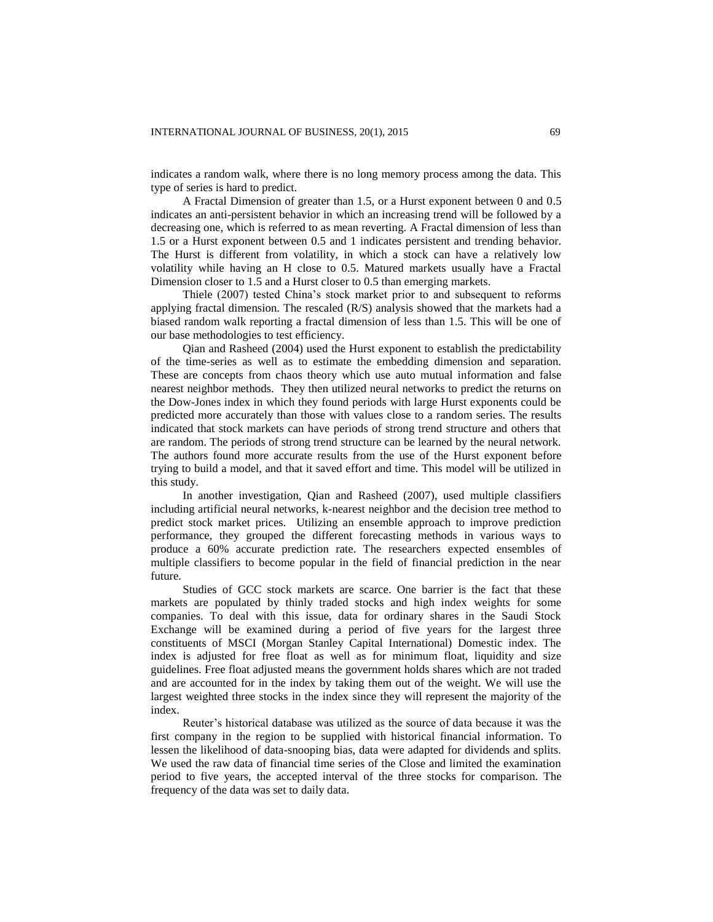indicates a random walk, where there is no long memory process among the data. This type of series is hard to predict.

A Fractal Dimension of greater than 1.5, or a Hurst exponent between 0 and 0.5 indicates an anti-persistent behavior in which an increasing trend will be followed by a decreasing one, which is referred to as mean reverting. A Fractal dimension of less than 1.5 or a Hurst exponent between 0.5 and 1 indicates persistent and trending behavior. The Hurst is different from volatility, in which a stock can have a relatively low volatility while having an H close to 0.5. Matured markets usually have a Fractal Dimension closer to 1.5 and a Hurst closer to 0.5 than emerging markets.

Thiele (2007) tested China's stock market prior to and subsequent to reforms applying fractal dimension. The rescaled (R/S) analysis showed that the markets had a biased random walk reporting a fractal dimension of less than 1.5. This will be one of our base methodologies to test efficiency.

Qian and Rasheed (2004) used the Hurst exponent to establish the predictability of the time-series as well as to estimate the embedding dimension and separation. These are concepts from chaos theory which use auto mutual information and false nearest neighbor methods. They then utilized neural networks to predict the returns on the Dow-Jones index in which they found periods with large Hurst exponents could be predicted more accurately than those with values close to a random series. The results indicated that stock markets can have periods of strong trend structure and others that are random. The periods of strong trend structure can be learned by the neural network. The authors found more accurate results from the use of the Hurst exponent before trying to build a model, and that it saved effort and time. This model will be utilized in this study.

In another investigation, Qian and Rasheed (2007), used multiple classifiers including artificial neural networks, k-nearest neighbor and the decision tree method to predict stock market prices. Utilizing an ensemble approach to improve prediction performance, they grouped the different forecasting methods in various ways to produce a 60% accurate prediction rate. The researchers expected ensembles of multiple classifiers to become popular in the field of financial prediction in the near future.

Studies of GCC stock markets are scarce. One barrier is the fact that these markets are populated by thinly traded stocks and high index weights for some companies. To deal with this issue, data for ordinary shares in the Saudi Stock Exchange will be examined during a period of five years for the largest three constituents of MSCI (Morgan Stanley Capital International) Domestic index. The index is adjusted for free float as well as for minimum float, liquidity and size guidelines. Free float adjusted means the government holds shares which are not traded and are accounted for in the index by taking them out of the weight. We will use the largest weighted three stocks in the index since they will represent the majority of the index.

Reuter's historical database was utilized as the source of data because it was the first company in the region to be supplied with historical financial information. To lessen the likelihood of data-snooping bias, data were adapted for dividends and splits. We used the raw data of financial time series of the Close and limited the examination period to five years, the accepted interval of the three stocks for comparison. The frequency of the data was set to daily data.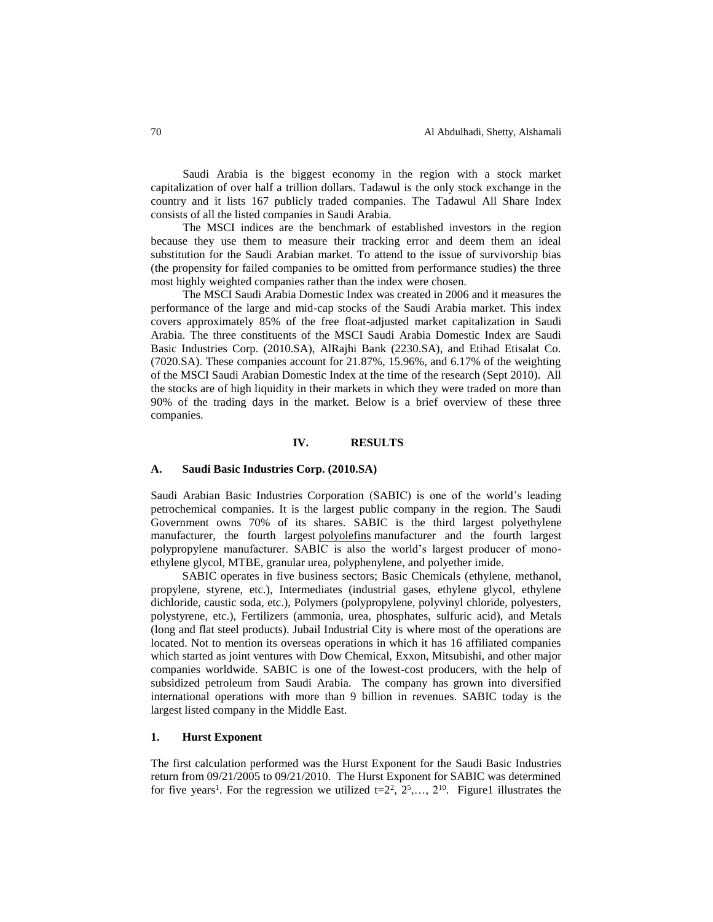Saudi Arabia is the biggest economy in the region with a stock market capitalization of over half a trillion dollars. Tadawul is the only stock exchange in the country and it lists 167 publicly traded companies. The Tadawul All Share Index consists of all the listed companies in Saudi Arabia.

The MSCI indices are the benchmark of established investors in the region because they use them to measure their tracking error and deem them an ideal substitution for the Saudi Arabian market. To attend to the issue of survivorship bias (the propensity for failed companies to be omitted from performance studies) the three most highly weighted companies rather than the index were chosen.

The MSCI Saudi Arabia Domestic Index was created in 2006 and it measures the performance of the large and mid-cap stocks of the Saudi Arabia market. This index covers approximately 85% of the free float-adjusted market capitalization in Saudi Arabia. The three constituents of the MSCI Saudi Arabia Domestic Index are Saudi Basic Industries Corp. (2010.SA), AlRajhi Bank (2230.SA), and Etihad Etisalat Co. (7020.SA). These companies account for 21.87%, 15.96%, and 6.17% of the weighting of the MSCI Saudi Arabian Domestic Index at the time of the research (Sept 2010). All the stocks are of high liquidity in their markets in which they were traded on more than 90% of the trading days in the market. Below is a brief overview of these three companies.

# **IV. RESULTS**

### **A. Saudi Basic Industries Corp. (2010.SA)**

Saudi Arabian Basic Industries Corporation (SABIC) is one of the world's leading petrochemical companies. It is the largest public company in the region. The Saudi Government owns 70% of its shares. SABIC is the third largest [polyethylene](http://en.wikipedia.org/wiki/Polyethylene) manufacturer, the fourth largest [polyolefins](http://en.wikipedia.org/wiki/Polyolefins) manufacturer and the fourth largest [polypropylene](http://en.wikipedia.org/wiki/Polypropylene) manufacturer. SABIC is also the world's largest producer of monoethylene glycol, MTBE, granular urea, polyphenylene, and polyether imide.

SABIC operates in five business sectors; Basic Chemicals (ethylene, methanol, propylene, styrene, etc.), Intermediates (industrial gases, ethylene glycol, ethylene dichloride, caustic soda, etc.), Polymers (polypropylene, polyvinyl chloride, polyesters, polystyrene, etc.), Fertilizers (ammonia, urea, phosphates, sulfuric acid), and Metals (long and flat steel products). Jubail Industrial City is where most of the operations are located. Not to mention its overseas operations in which it has 16 affiliated companies which started as joint ventures with Dow Chemical, Exxon, Mitsubishi, and other major companies worldwide. SABIC is one of the lowest-cost producers, with the help of subsidized petroleum from Saudi Arabia. The company has grown into diversified international operations with more than 9 billion in revenues. SABIC today is the largest listed company in the Middle East.

## **1. Hurst Exponent**

The first calculation performed was the Hurst Exponent for the Saudi Basic Industries return from 09/21/2005 to 09/21/2010. The Hurst Exponent for SABIC was determined for five years<sup>1</sup>. For the regression we utilized  $t=2^2$ ,  $2^5$ ,...,  $2^{10}$ . Figure1 illustrates the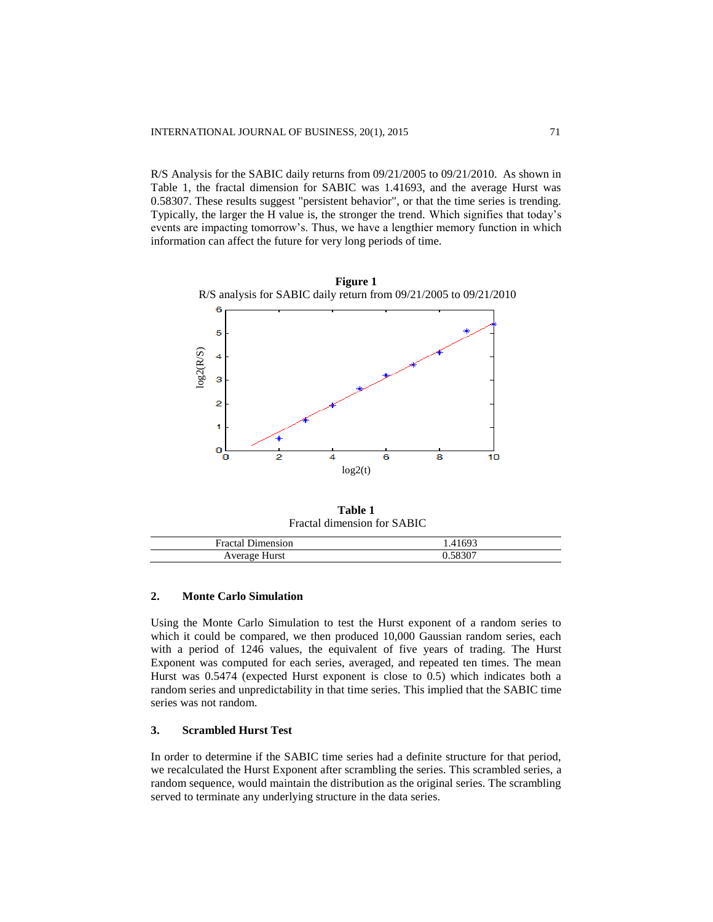R/S Analysis for the SABIC daily returns from 09/21/2005 to 09/21/2010. As shown in Table 1, the fractal dimension for SABIC was 1.41693, and the average Hurst was 0.58307. These results suggest "persistent behavior", or that the time series is trending. Typically, the larger the H value is, the stronger the trend. Which signifies that today's events are impacting tomorrow's. Thus, we have a lengthier memory function in which information can affect the future for very long periods of time.



**Table 1** Fractal dimension for SABIC

| Fractal<br>Dimension |  |
|----------------------|--|
| Average Hurst        |  |

# **2. Monte Carlo Simulation**

Using the Monte Carlo Simulation to test the Hurst exponent of a random series to which it could be compared, we then produced  $10,000$  Gaussian random series, each with a period of 1246 values, the equivalent of five years of trading. The Hurst Exponent was computed for each series, averaged, and repeated ten times. The mean Hurst was 0.5474 (expected Hurst exponent is close to 0.5) which indicates both a random series and unpredictability in that time series. This implied that the SABIC time series was not random.

## **3. Scrambled Hurst Test**

In order to determine if the SABIC time series had a definite structure for that period, we recalculated the Hurst Exponent after scrambling the series. This scrambled series, a random sequence, would maintain the distribution as the original series. The scrambling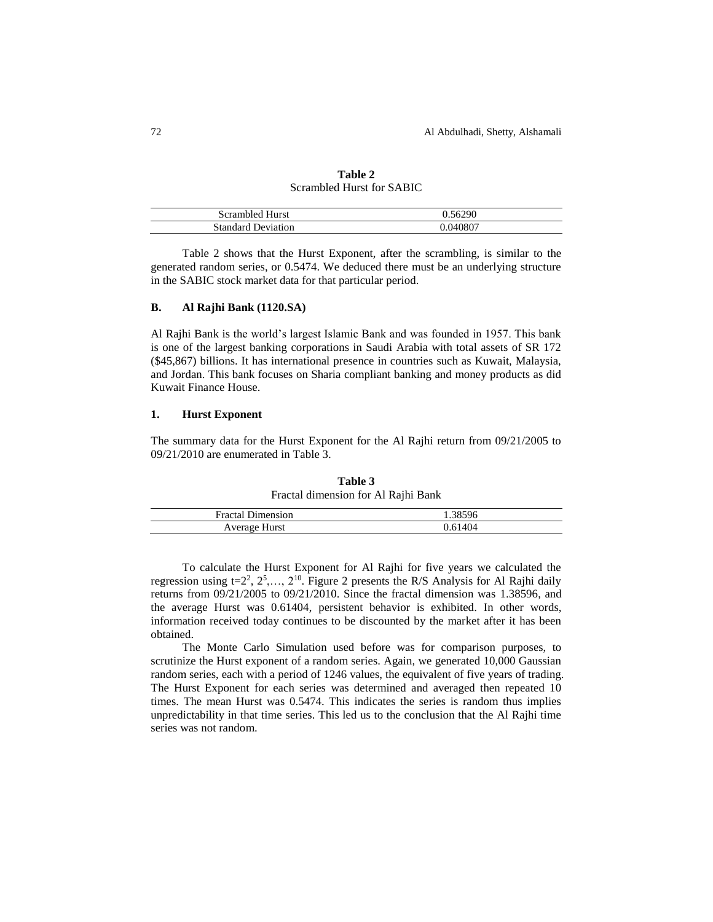| <b>Scrambled Hurst</b>    | 0.56290  |
|---------------------------|----------|
| <b>Standard Deviation</b> | 0.040807 |

**Table 2** Scrambled Hurst for SABIC

Table 2 shows that the Hurst Exponent, after the scrambling, is similar to the generated random series, or 0.5474. We deduced there must be an underlying structure in the SABIC stock market data for that particular period.

# **B. Al Rajhi Bank (1120.SA)**

Al Rajhi Bank is the world's largest Islamic Bank and was founded in 1957. This bank is one of the largest banking corporations in Saudi Arabia with total assets of SR 172 (\$45,867) billions. It has international presence in countries such as Kuwait, Malaysia, and Jordan. This bank focuses on Sharia compliant banking and money products as did Kuwait Finance House.

#### **1. Hurst Exponent**

The summary data for the Hurst Exponent for the Al Rajhi return from 09/21/2005 to 09/21/2010 are enumerated in Table 3.

| Fractal dimension for Al Rajhi Bank |  |  |
|-------------------------------------|--|--|
| 1.38596                             |  |  |
| 0.61404                             |  |  |
|                                     |  |  |

**Table 3** Fractal dimension for Al Rajhi Bank

To calculate the Hurst Exponent for Al Rajhi for five years we calculated the regression using  $t=2^2, 2^5, \ldots, 2^{10}$ . Figure 2 presents the R/S Analysis for Al Rajhi daily returns from 09/21/2005 to 09/21/2010. Since the fractal dimension was 1.38596, and the average Hurst was 0.61404, persistent behavior is exhibited. In other words, information received today continues to be discounted by the market after it has been obtained.

The Monte Carlo Simulation used before was for comparison purposes, to scrutinize the Hurst exponent of a random series. Again, we generated 10,000 Gaussian random series, each with a period of 1246 values, the equivalent of five years of trading. The Hurst Exponent for each series was determined and averaged then repeated 10 times. The mean Hurst was 0.5474. This indicates the series is random thus implies unpredictability in that time series. This led us to the conclusion that the Al Rajhi time series was not random.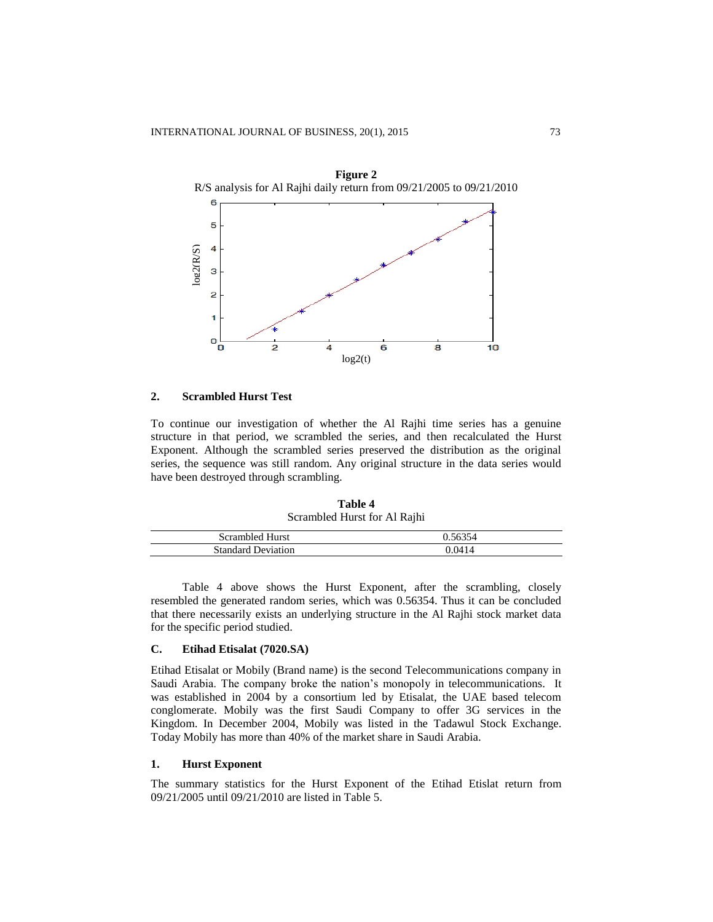

# **2. Scrambled Hurst Test**

To continue our investigation of whether the Al Rajhi time series has a genuine structure in that period, we scrambled the series, and then recalculated the Hurst Exponent. Although the scrambled series preserved the distribution as the original series, the sequence was still random. Any original structure in the data series would have been destroyed through scrambling.

**Table 4** Scrambled Hurst for Al Rajhi

| <b>Scrambled Hurst</b>    | 56354  |
|---------------------------|--------|
| <b>Standard Deviation</b> | 0 0414 |
|                           |        |

Table 4 above shows the Hurst Exponent, after the scrambling, closely resembled the generated random series, which was 0.56354. Thus it can be concluded that there necessarily exists an underlying structure in the Al Rajhi stock market data for the specific period studied.

## **C. Etihad Etisalat (7020.SA)**

Etihad Etisalat or Mobily (Brand name) is the second Telecommunications company in Saudi Arabia. The company broke the nation's monopoly in telecommunications. It was established in 2004 by a consortium led by Etisalat, the UAE based telecom conglomerate. Mobily was the first Saudi Company to offer 3G services in the Kingdom. In December 2004, Mobily was listed in the Tadawul Stock Exchange. Today Mobily has more than 40% of the market share in Saudi Arabia.

## **1. Hurst Exponent**

The summary statistics for the Hurst Exponent of the Etihad Etislat return from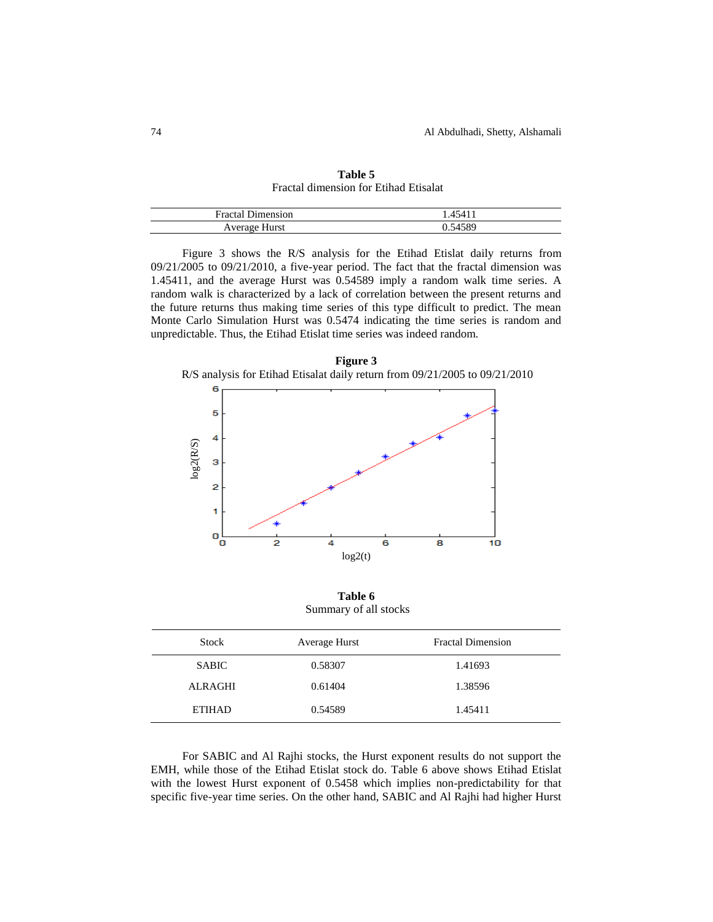| <b>Fractal Dimension</b> | 1.45411 |
|--------------------------|---------|
| Average Hurst            | 0.54589 |

**Table 5** Fractal dimension for Etihad Etisalat

Figure 3 shows the R/S analysis for the Etihad Etislat daily returns from 09/21/2005 to 09/21/2010, a five-year period. The fact that the fractal dimension was 1.45411, and the average Hurst was 0.54589 imply a random walk time series. A random walk is characterized by a lack of correlation between the present returns and the future returns thus making time series of this type difficult to predict. The mean Monte Carlo Simulation Hurst was 0.5474 indicating the time series is random and unpredictable. Thus, the Etihad Etislat time series was indeed random.



**Figure 3** R/S analysis for Etihad Etisalat daily return from 09/21/2005 to 09/21/2010

**Table 6** Summary of all stocks

| Average Hurst | <b>Fractal Dimension</b> |
|---------------|--------------------------|
| 0.58307       | 1.41693                  |
| 0.61404       | 1.38596                  |
| 0.54589       | 1.45411                  |
|               |                          |

For SABIC and Al Rajhi stocks, the Hurst exponent results do not support the EMH, while those of the Etihad Etislat stock do. Table 6 above shows Etihad Etislat with the lowest Hurst exponent of 0.5458 which implies non-predictability for that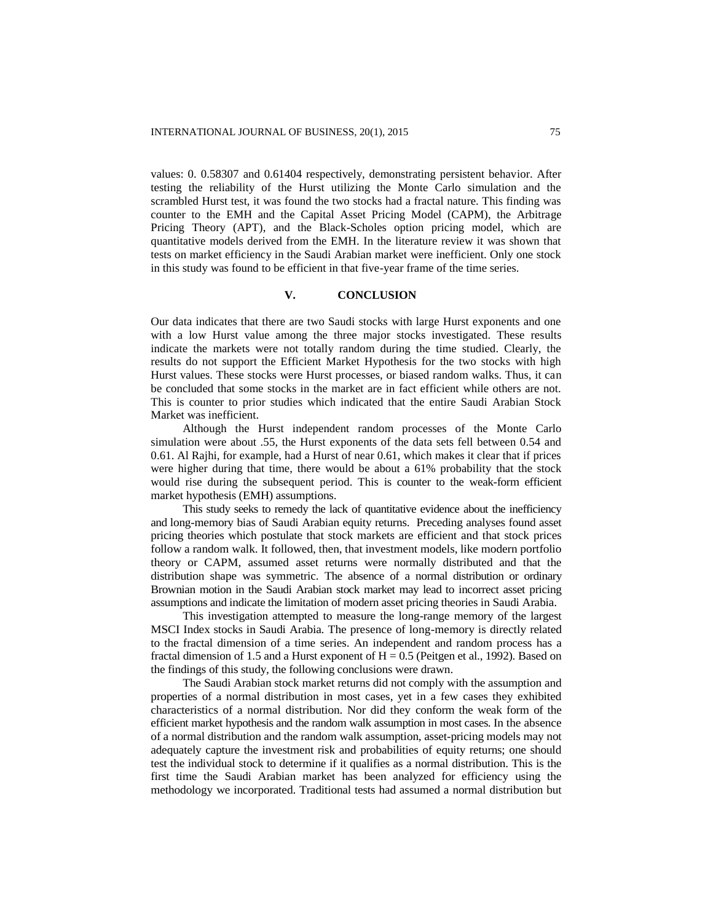values: 0. 0.58307 and 0.61404 respectively, demonstrating persistent behavior. After testing the reliability of the Hurst utilizing the Monte Carlo simulation and the scrambled Hurst test, it was found the two stocks had a fractal nature. This finding was counter to the EMH and the Capital Asset Pricing Model (CAPM), the Arbitrage Pricing Theory (APT), and the Black-Scholes option pricing model, which are quantitative models derived from the EMH. In the literature review it was shown that tests on market efficiency in the Saudi Arabian market were inefficient. Only one stock in this study was found to be efficient in that five-year frame of the time series.

## **V. CONCLUSION**

Our data indicates that there are two Saudi stocks with large Hurst exponents and one with a low Hurst value among the three major stocks investigated. These results indicate the markets were not totally random during the time studied. Clearly, the results do not support the Efficient Market Hypothesis for the two stocks with high Hurst values. These stocks were Hurst processes, or biased random walks. Thus, it can be concluded that some stocks in the market are in fact efficient while others are not. This is counter to prior studies which indicated that the entire Saudi Arabian Stock Market was inefficient.

Although the Hurst independent random processes of the Monte Carlo simulation were about .55, the Hurst exponents of the data sets fell between 0.54 and 0.61. Al Rajhi, for example, had a Hurst of near 0.61, which makes it clear that if prices were higher during that time, there would be about a 61% probability that the stock would rise during the subsequent period. This is counter to the weak-form efficient market hypothesis (EMH) assumptions.

This study seeks to remedy the lack of quantitative evidence about the inefficiency and long-memory bias of Saudi Arabian equity returns. Preceding analyses found asset pricing theories which postulate that stock markets are efficient and that stock prices follow a random walk. It followed, then, that investment models, like modern portfolio theory or CAPM, assumed asset returns were normally distributed and that the distribution shape was symmetric. The absence of a normal distribution or ordinary Brownian motion in the Saudi Arabian stock market may lead to incorrect asset pricing assumptions and indicate the limitation of modern asset pricing theories in Saudi Arabia.

This investigation attempted to measure the long-range memory of the largest MSCI Index stocks in Saudi Arabia. The presence of long-memory is directly related to the fractal dimension of a time series. An independent and random process has a fractal dimension of 1.5 and a Hurst exponent of  $H = 0.5$  (Peitgen et al., 1992). Based on the findings of this study, the following conclusions were drawn.

The Saudi Arabian stock market returns did not comply with the assumption and properties of a normal distribution in most cases, yet in a few cases they exhibited characteristics of a normal distribution. Nor did they conform the weak form of the efficient market hypothesis and the random walk assumption in most cases. In the absence of a normal distribution and the random walk assumption, asset-pricing models may not adequately capture the investment risk and probabilities of equity returns; one should test the individual stock to determine if it qualifies as a normal distribution. This is the first time the Saudi Arabian market has been analyzed for efficiency using the methodology we incorporated. Traditional tests had assumed a normal distribution but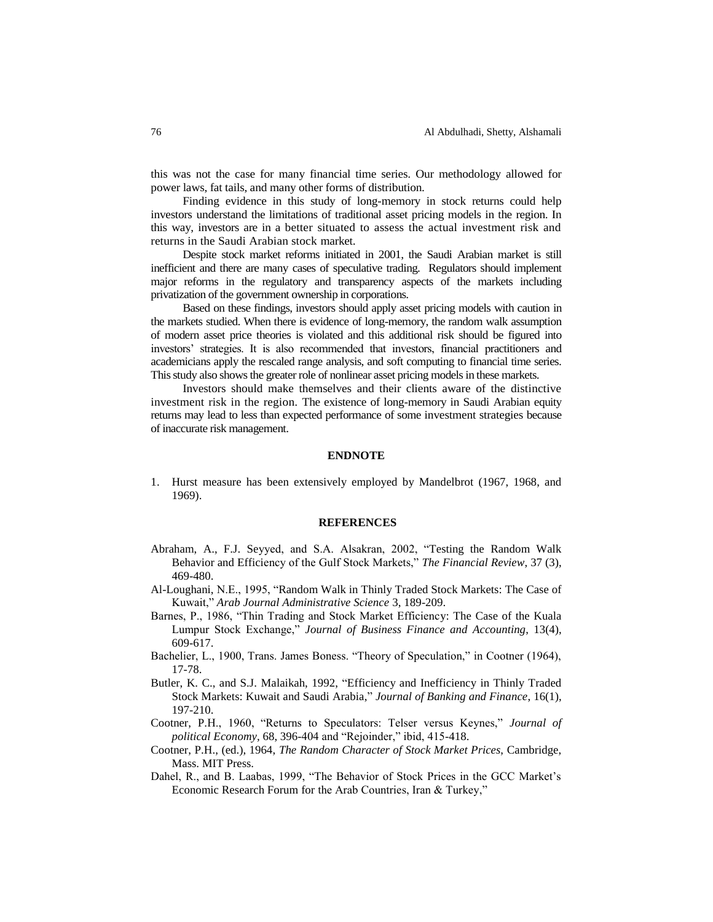this was not the case for many financial time series. Our methodology allowed for power laws, fat tails, and many other forms of distribution.

Finding evidence in this study of long-memory in stock returns could help investors understand the limitations of traditional asset pricing models in the region. In this way, investors are in a better situated to assess the actual investment risk and returns in the Saudi Arabian stock market.

Despite stock market reforms initiated in 2001, the Saudi Arabian market is still inefficient and there are many cases of speculative trading. Regulators should implement major reforms in the regulatory and transparency aspects of the markets including privatization of the government ownership in corporations.

Based on these findings, investors should apply asset pricing models with caution in the markets studied. When there is evidence of long-memory, the random walk assumption of modern asset price theories is violated and this additional risk should be figured into investors' strategies. It is also recommended that investors, financial practitioners and academicians apply the rescaled range analysis, and soft computing to financial time series. This study also shows the greater role of nonlinear asset pricing models in these markets.

Investors should make themselves and their clients aware of the distinctive investment risk in the region. The existence of long-memory in Saudi Arabian equity returns may lead to less than expected performance of some investment strategies because of inaccurate risk management.

#### **ENDNOTE**

1. Hurst measure has been extensively employed by Mandelbrot (1967, 1968, and 1969).

#### **REFERENCES**

- Abraham, A., F.J. Seyyed, and S.A. Alsakran, 2002, "Testing the Random Walk Behavior and Efficiency of the Gulf Stock Markets," *The Financial Review*, 37 (3), 469-480.
- Al-Loughani, N.E., 1995, "Random Walk in Thinly Traded Stock Markets: The Case of Kuwait," *Arab Journal Administrative Science* 3, 189-209.
- Barnes, P., 1986, "Thin Trading and Stock Market Efficiency: The Case of the Kuala Lumpur Stock Exchange," *Journal of Business Finance and Accounting*, 13(4), 609-617.
- Bachelier, L., 1900, Trans. James Boness. "Theory of Speculation," in Cootner (1964), 17-78.
- Butler, K. C., and S.J. Malaikah, 1992, "Efficiency and Inefficiency in Thinly Traded Stock Markets: Kuwait and Saudi Arabia," *Journal of Banking and Finance*, 16(1), 197-210.
- Cootner, P.H., 1960, "Returns to Speculators: Telser versus Keynes," *Journal of political Economy,* 68, 396-404 and "Rejoinder," ibid, 415-418.
- Cootner, P.H., (ed.), 1964, *The Random Character of Stock Market Prices*, Cambridge, Mass. MIT Press.
- Dahel, R., and B. Laabas, 1999, "The Behavior of Stock Prices in the GCC Market's Economic Research Forum for the Arab Countries, Iran & Turkey,"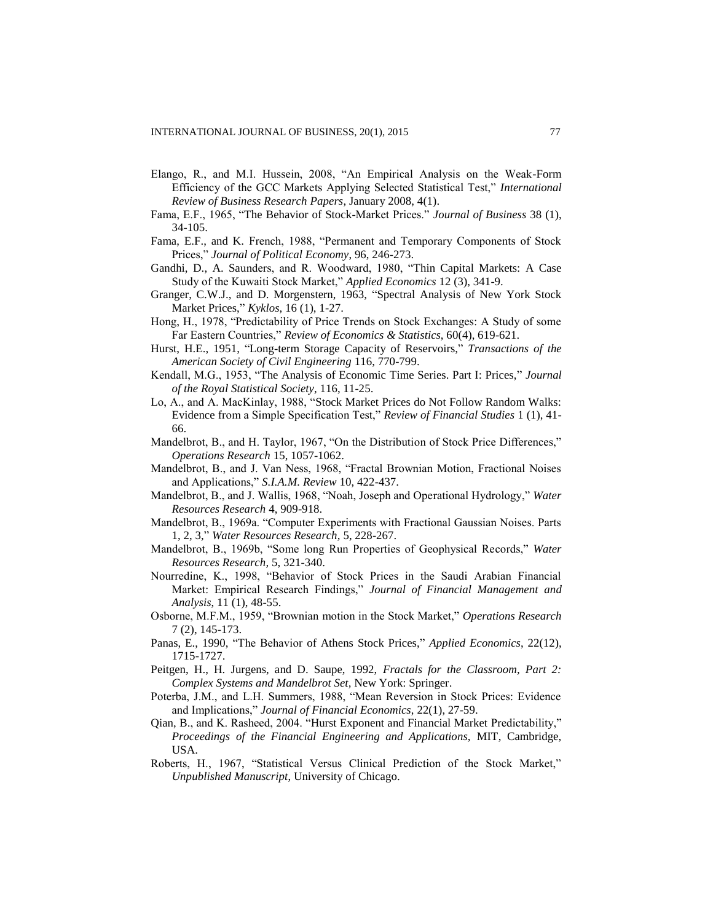- Elango, R., and M.I. Hussein, 2008, "An Empirical Analysis on the Weak-Form Efficiency of the GCC Markets Applying Selected Statistical Test," *International Review of Business Research Papers*, January 2008, 4(1).
- Fama, E.F., 1965, "The Behavior of Stock-Market Prices." *Journal of Business* 38 (1), 34-105.
- Fama, E.F., and K. French, 1988, "Permanent and Temporary Components of Stock Prices," *Journal of Political Economy*, 96, 246-273.
- Gandhi, D., A. Saunders, and R. Woodward, 1980, "Thin Capital Markets: A Case Study of the Kuwaiti Stock Market," *Applied Economics* 12 (3), 341-9.
- Granger, C.W.J., and D. Morgenstern, 1963, "Spectral Analysis of New York Stock Market Prices," *Kyklos*, 16 (1), 1-27.
- Hong, H., 1978, "Predictability of Price Trends on Stock Exchanges: A Study of some Far Eastern Countries," *Review of Economics & Statistics*, 60(4), 619-621.
- Hurst, H.E., 1951, "Long-term Storage Capacity of Reservoirs," *Transactions of the American Society of Civil Engineering* 116, 770-799.
- Kendall, M.G., 1953, "The Analysis of Economic Time Series. Part I: Prices," *Journal of the Royal Statistical Society,* 116, 11-25.
- Lo, A., and A. MacKinlay, 1988, "Stock Market Prices do Not Follow Random Walks: Evidence from a Simple Specification Test," *Review of Financial Studies* 1 (1), 41- 66.
- Mandelbrot, B., and H. Taylor, 1967, "On the Distribution of Stock Price Differences," *Operations Research* 15, 1057-1062.
- Mandelbrot, B., and J. Van Ness, 1968, "Fractal Brownian Motion, Fractional Noises and Applications," *S.I.A.M. Review* 10, 422-437.
- Mandelbrot, B., and J. Wallis, 1968, "Noah, Joseph and Operational Hydrology," *Water Resources Research* 4, 909-918.
- Mandelbrot, B., 1969a. "Computer Experiments with Fractional Gaussian Noises. Parts 1, 2, 3," *Water Resources Research,* 5, 228-267.
- Mandelbrot, B., 1969b, "Some long Run Properties of Geophysical Records," *Water Resources Research,* 5, 321-340.
- Nourredine, K., 1998, "Behavior of Stock Prices in the Saudi Arabian Financial Market: Empirical Research Findings," *Journal of Financial Management and Analysis*, 11 (1), 48-55.
- Osborne, M.F.M., 1959, "Brownian motion in the Stock Market," *Operations Research* 7 (2), 145-173.
- Panas, E., 1990, "The Behavior of Athens Stock Prices," *Applied Economics*, 22(12), 1715-1727.
- Peitgen, H., H. Jurgens, and D. Saupe, 1992, *Fractals for the Classroom, Part 2: Complex Systems and Mandelbrot Set,* New York: Springer.
- Poterba, J.M., and L.H. Summers, 1988, "Mean Reversion in Stock Prices: Evidence and Implications," *Journal of Financial Economics*, 22(1), 27-59.
- Qian, B., and K. Rasheed, 2004. "Hurst Exponent and Financial Market Predictability," *Proceedings of the Financial Engineering and Applications,* MIT, Cambridge, USA.
- Roberts, H., 1967, "Statistical Versus Clinical Prediction of the Stock Market," *Unpublished Manuscript*, University of Chicago.